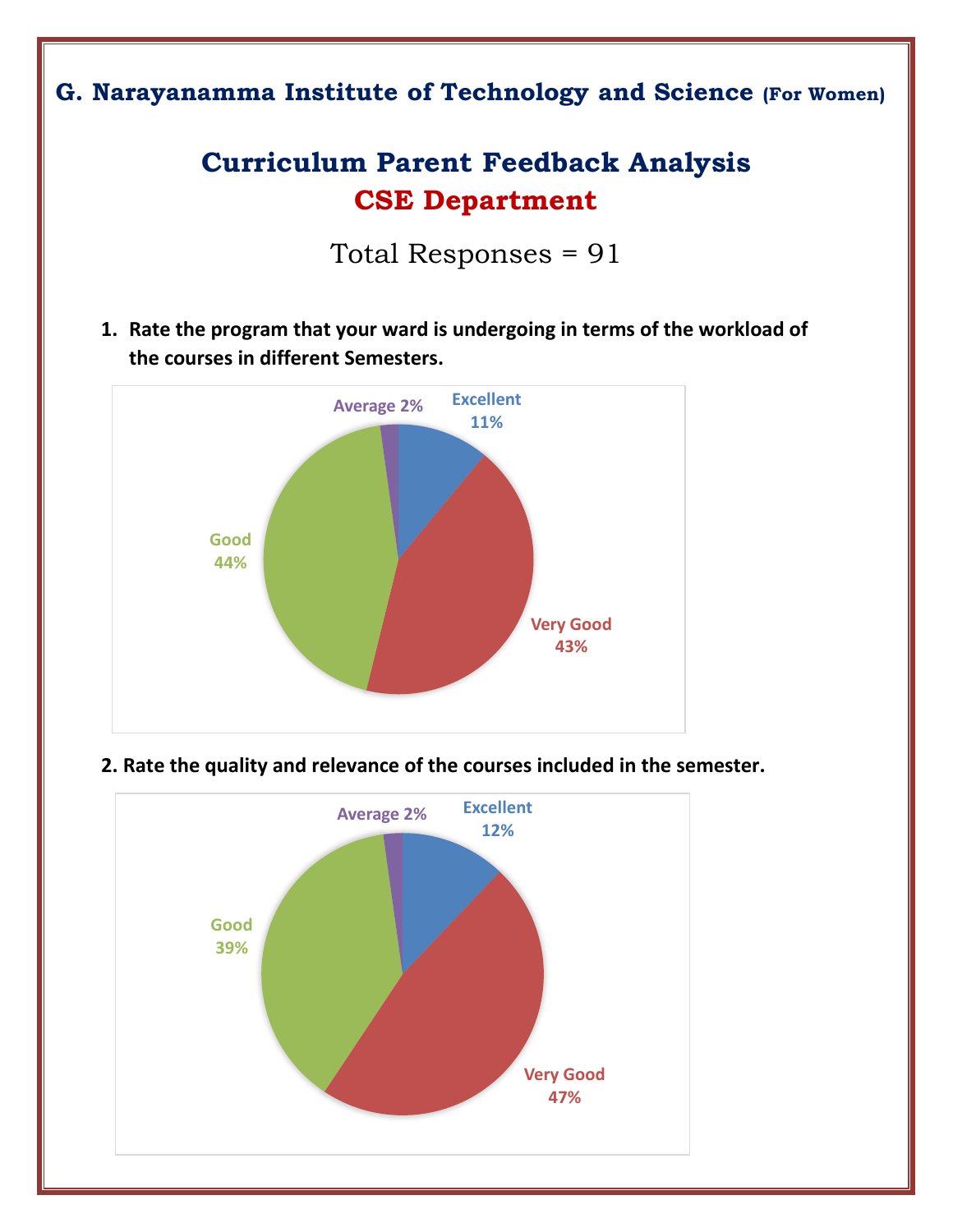## **G. Narayanamma Institute of Technology and Science (For Women)**

# **Curriculum Parent Feedback Analysis CSE Department**

Total Responses = 91

**1. Rate the program that your ward is undergoing in terms of the workload of the courses in different Semesters.**





 **2. Rate the quality and relevance of the courses included in the semester.**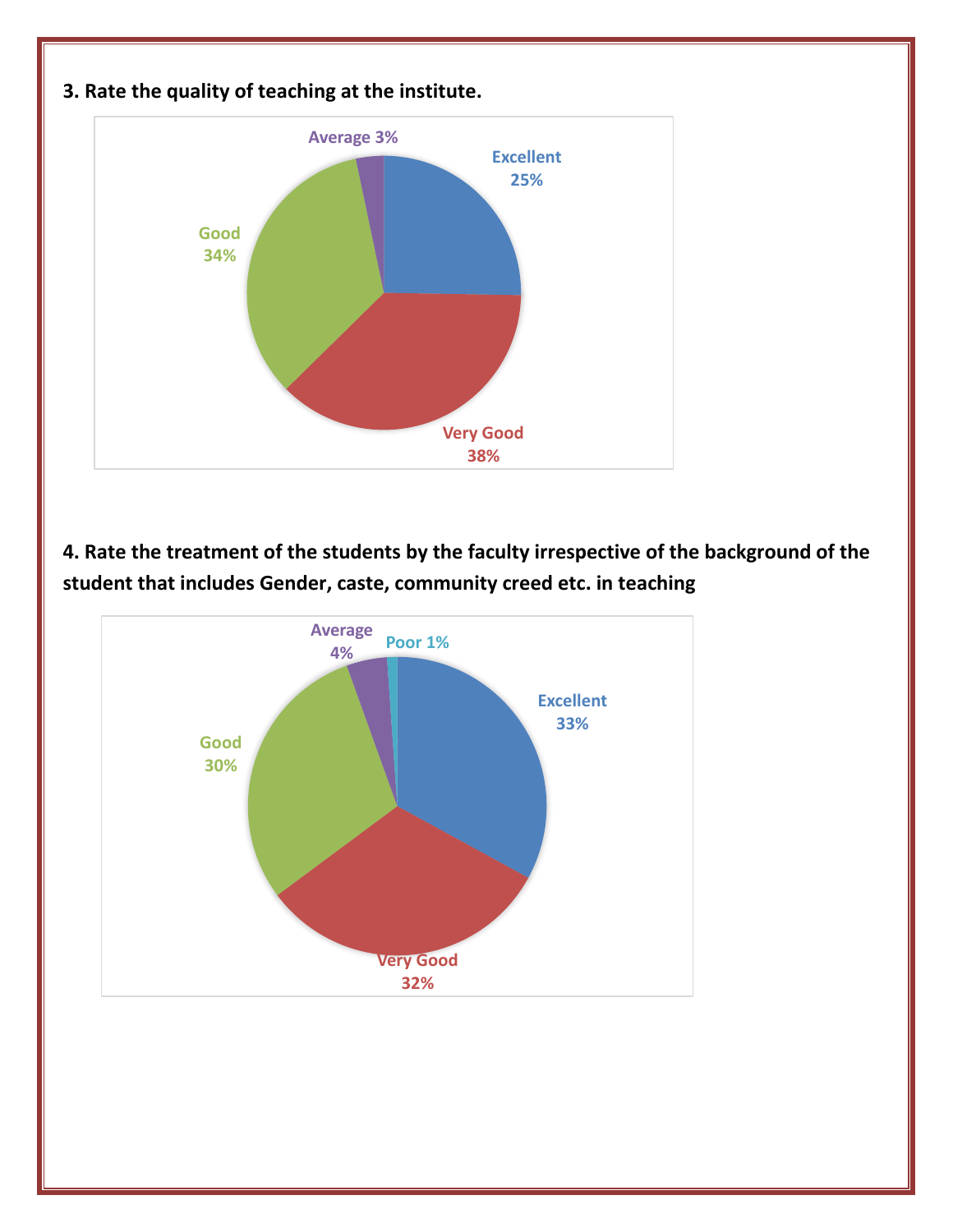

**4. Rate the treatment of the students by the faculty irrespective of the background of the student that includes Gender, caste, community creed etc. in teaching** 

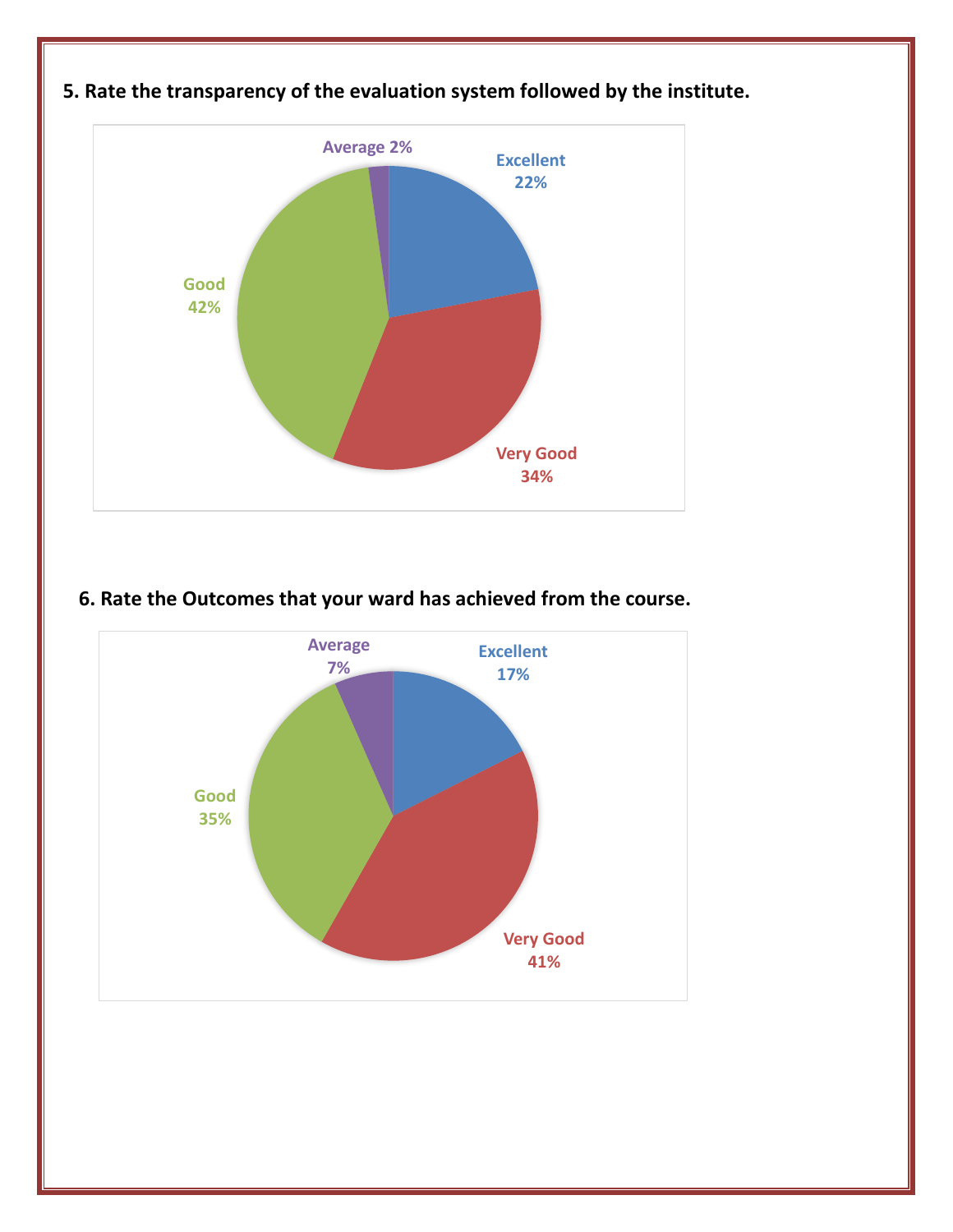

#### **6. Rate the Outcomes that your ward has achieved from the course.**

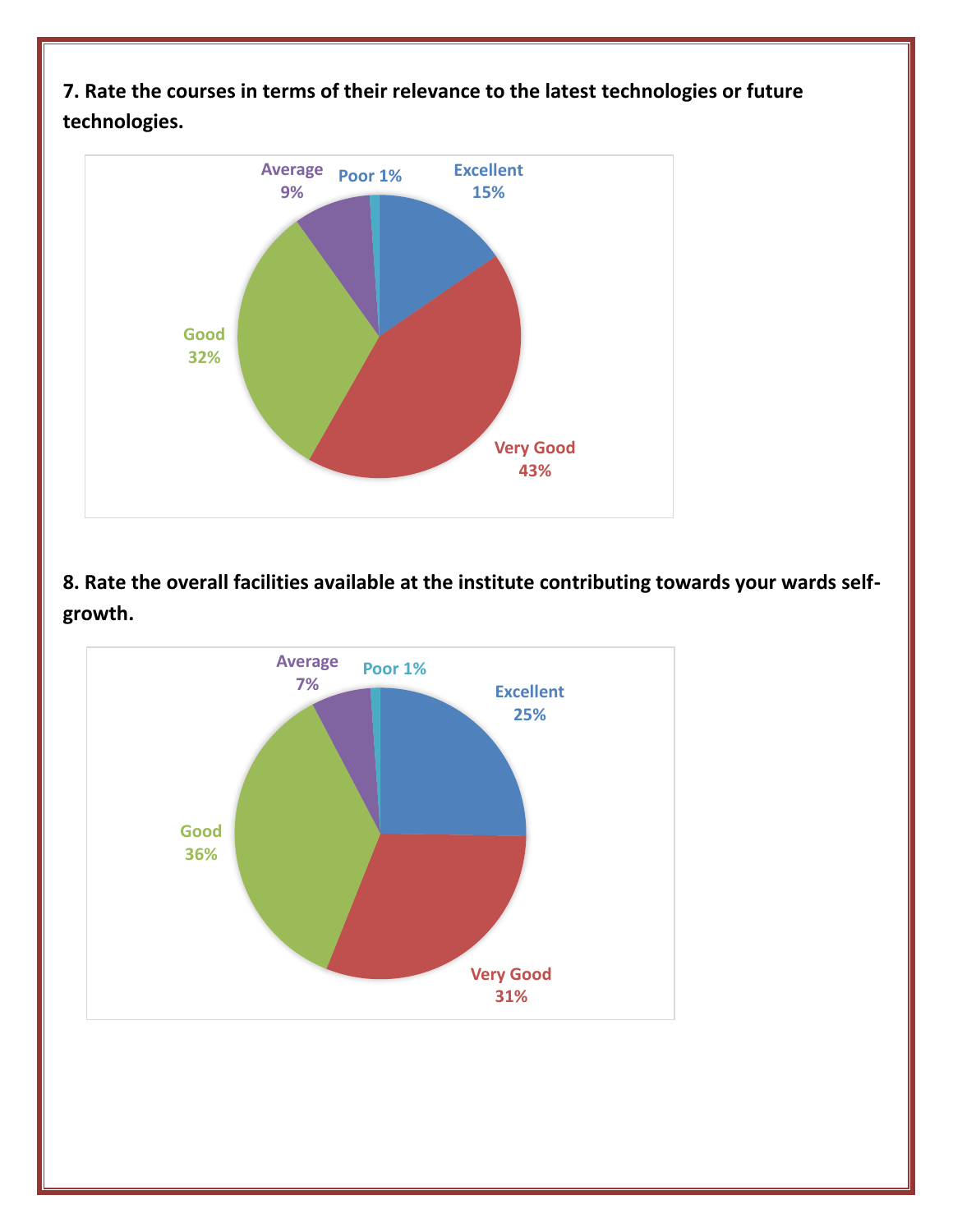**7. Rate the courses in terms of their relevance to the latest technologies or future technologies.**



**8. Rate the overall facilities available at the institute contributing towards your wards selfgrowth.**

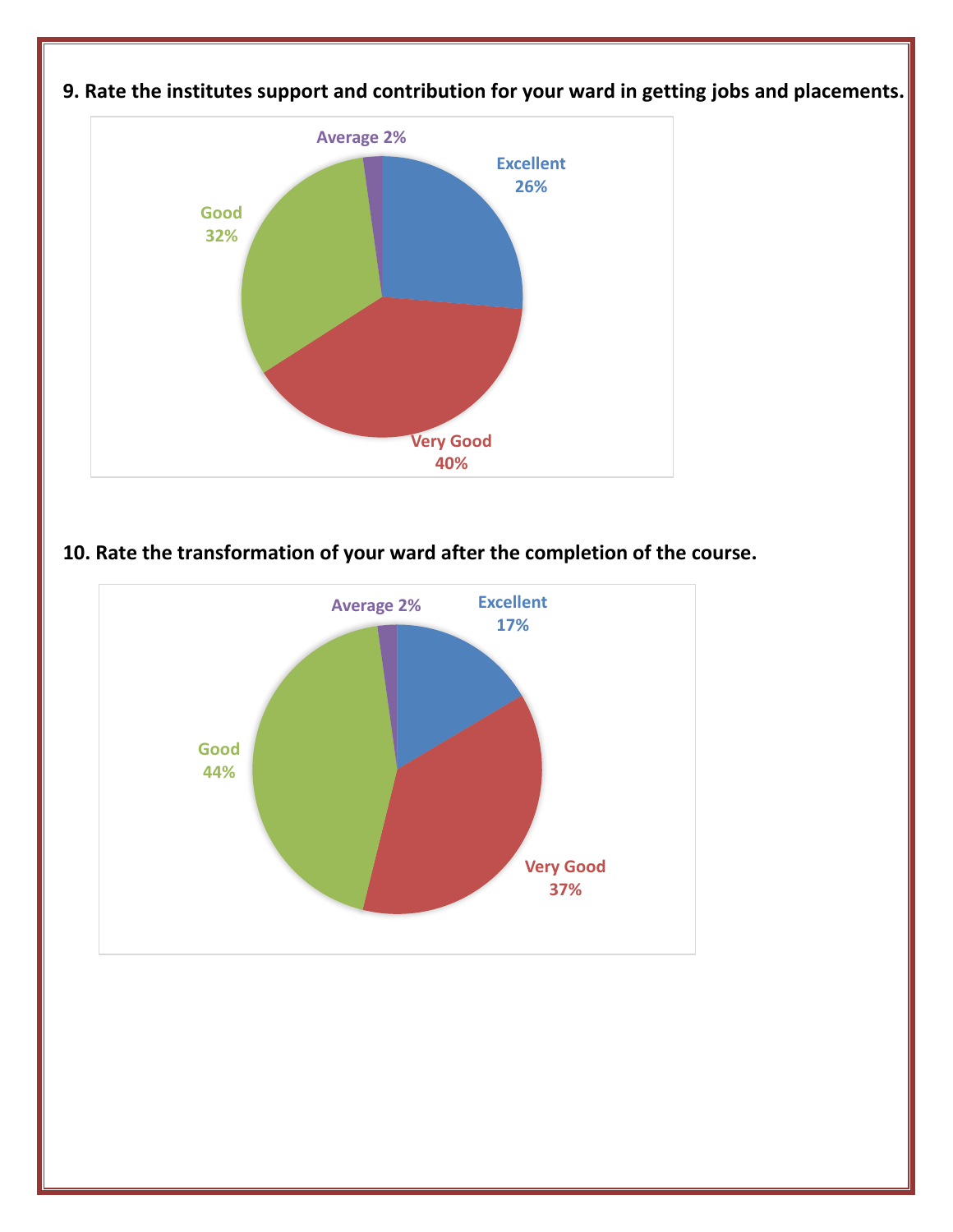

**9. Rate the institutes support and contribution for your ward in getting jobs and placements.**

### **10. Rate the transformation of your ward after the completion of the course.**